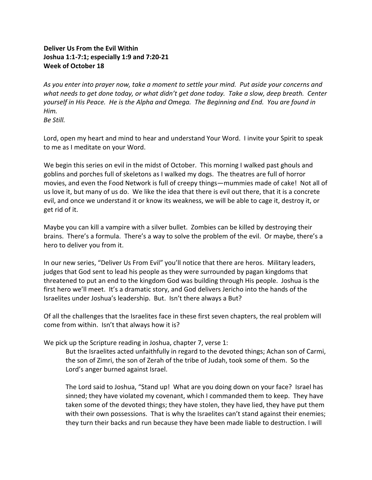# **Deliver Us From the Evil Within Joshua 1:1-7:1; especially 1:9 and 7:20-21 Week of October 18**

*As you enter into prayer now, take a moment to settle your mind. Put aside your concerns and what needs to get done today, or what didn't get done today. Take a slow, deep breath. Center yourself in His Peace. He is the Alpha and Omega. The Beginning and End. You are found in Him. Be Still.* 

Lord, open my heart and mind to hear and understand Your Word. I invite your Spirit to speak to me as I meditate on your Word.

We begin this series on evil in the midst of October. This morning I walked past ghouls and goblins and porches full of skeletons as I walked my dogs. The theatres are full of horror movies, and even the Food Network is full of creepy things—mummies made of cake! Not all of us love it, but many of us do. We like the idea that there is evil out there, that it is a concrete evil, and once we understand it or know its weakness, we will be able to cage it, destroy it, or get rid of it.

Maybe you can kill a vampire with a silver bullet. Zombies can be killed by destroying their brains. There's a formula. There's a way to solve the problem of the evil. Or maybe, there's a hero to deliver you from it.

In our new series, "Deliver Us From Evil" you'll notice that there are heros. Military leaders, judges that God sent to lead his people as they were surrounded by pagan kingdoms that threatened to put an end to the kingdom God was building through His people. Joshua is the first hero we'll meet. It's a dramatic story, and God delivers Jericho into the hands of the Israelites under Joshua's leadership. But. Isn't there always a But?

Of all the challenges that the Israelites face in these first seven chapters, the real problem will come from within. Isn't that always how it is?

We pick up the Scripture reading in Joshua, chapter 7, verse 1:

But the Israelites acted unfaithfully in regard to the devoted things; Achan son of Carmi, the son of Zimri, the son of Zerah of the tribe of Judah, took some of them. So the Lord's anger burned against Israel.

The Lord said to Joshua, "Stand up! What are you doing down on your face? Israel has sinned; they have violated my covenant, which I commanded them to keep. They have taken some of the devoted things; they have stolen, they have lied, they have put them with their own possessions. That is why the Israelites can't stand against their enemies; they turn their backs and run because they have been made liable to destruction. I will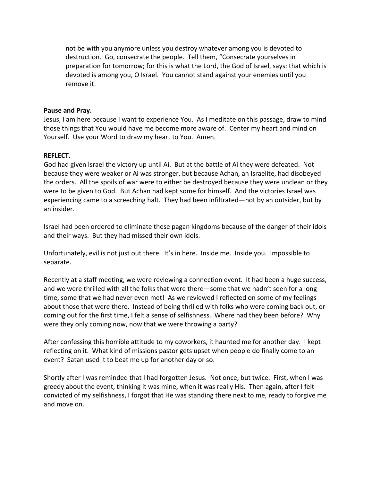not be with you anymore unless you destroy whatever among you is devoted to destruction. Go, consecrate the people. Tell them, "Consecrate yourselves in preparation for tomorrow; for this is what the Lord, the God of Israel, says: that which is devoted is among you, O Israel. You cannot stand against your enemies until you remove it.

#### **Pause and Pray.**

Jesus, I am here because I want to experience You. As I meditate on this passage, draw to mind those things that You would have me become more aware of. Center my heart and mind on Yourself. Use your Word to draw my heart to You. Amen.

#### **REFLECT.**

God had given Israel the victory up until Ai. But at the battle of Ai they were defeated. Not because they were weaker or Ai was stronger, but because Achan, an Israelite, had disobeyed the orders. All the spoils of war were to either be destroyed because they were unclean or they were to be given to God. But Achan had kept some for himself. And the victories Israel was experiencing came to a screeching halt. They had been infiltrated—not by an outsider, but by an insider.

Israel had been ordered to eliminate these pagan kingdoms because of the danger of their idols and their ways. But they had missed their own idols.

Unfortunately, evil is not just out there. It's in here. Inside me. Inside you. Impossible to separate.

Recently at a staff meeting, we were reviewing a connection event. It had been a huge success, and we were thrilled with all the folks that were there—some that we hadn't seen for a long time, some that we had never even met! As we reviewed I reflected on some of my feelings about those that were there. Instead of being thrilled with folks who were coming back out, or coming out for the first time, I felt a sense of selfishness. Where had they been before? Why were they only coming now, now that we were throwing a party?

After confessing this horrible attitude to my coworkers, it haunted me for another day. I kept reflecting on it. What kind of missions pastor gets upset when people do finally come to an event? Satan used it to beat me up for another day or so.

Shortly after I was reminded that I had forgotten Jesus. Not once, but twice. First, when I was greedy about the event, thinking it was mine, when it was really His. Then again, after I felt convicted of my selfishness, I forgot that He was standing there next to me, ready to forgive me and move on.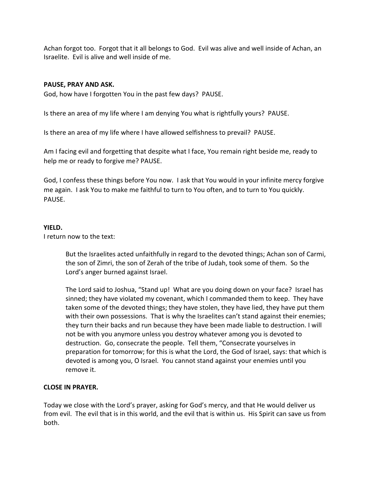Achan forgot too. Forgot that it all belongs to God. Evil was alive and well inside of Achan, an Israelite. Evil is alive and well inside of me.

## **PAUSE, PRAY AND ASK.**

God, how have I forgotten You in the past few days? PAUSE.

Is there an area of my life where I am denying You what is rightfully yours? PAUSE.

Is there an area of my life where I have allowed selfishness to prevail? PAUSE.

Am I facing evil and forgetting that despite what I face, You remain right beside me, ready to help me or ready to forgive me? PAUSE.

God, I confess these things before You now. I ask that You would in your infinite mercy forgive me again. I ask You to make me faithful to turn to You often, and to turn to You quickly. PAUSE.

## **YIELD.**

I return now to the text:

But the Israelites acted unfaithfully in regard to the devoted things; Achan son of Carmi, the son of Zimri, the son of Zerah of the tribe of Judah, took some of them. So the Lord's anger burned against Israel.

The Lord said to Joshua, "Stand up! What are you doing down on your face? Israel has sinned; they have violated my covenant, which I commanded them to keep. They have taken some of the devoted things; they have stolen, they have lied, they have put them with their own possessions. That is why the Israelites can't stand against their enemies; they turn their backs and run because they have been made liable to destruction. I will not be with you anymore unless you destroy whatever among you is devoted to destruction. Go, consecrate the people. Tell them, "Consecrate yourselves in preparation for tomorrow; for this is what the Lord, the God of Israel, says: that which is devoted is among you, O Israel. You cannot stand against your enemies until you remove it.

## **CLOSE IN PRAYER.**

Today we close with the Lord's prayer, asking for God's mercy, and that He would deliver us from evil. The evil that is in this world, and the evil that is within us. His Spirit can save us from both.